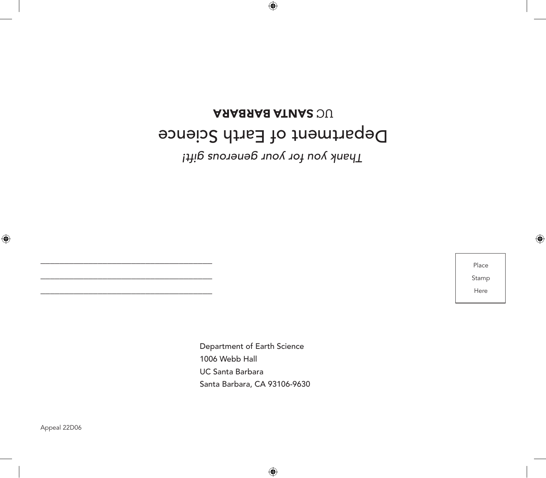# ARABAAB ATUA2 OU Department of Earth Science *Thank you for your generous gift!*

 $\bigoplus$ 

Place Stamp Here

⊕

Department of Earth Science 1006 Webb Hall UC Santa Barbara Santa Barbara, CA 93106-9630

Appeal 22D06

 $\bigoplus$ 

\_\_\_\_\_\_\_\_\_\_\_\_\_\_\_\_\_\_\_\_\_\_\_\_\_\_\_\_\_\_\_\_\_\_\_\_ \_\_\_\_\_\_\_\_\_\_\_\_\_\_\_\_\_\_\_\_\_\_\_\_\_\_\_\_\_\_\_\_\_\_\_\_ \_\_\_\_\_\_\_\_\_\_\_\_\_\_\_\_\_\_\_\_\_\_\_\_\_\_\_\_\_\_\_\_\_\_\_\_

 $\bigoplus$